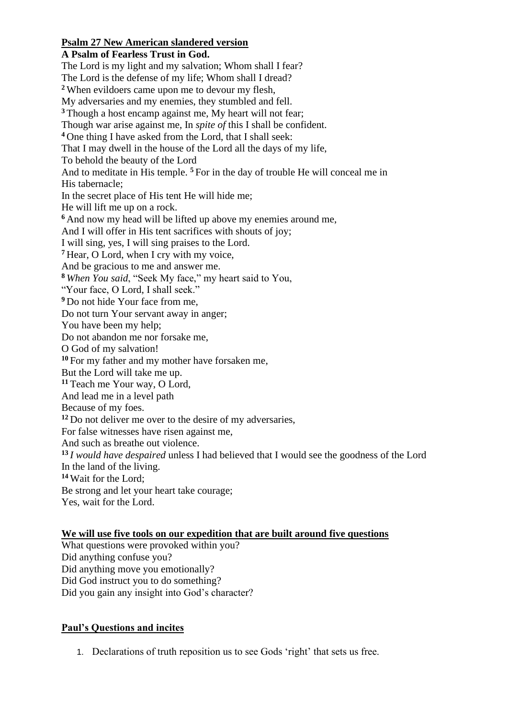## **Psalm 27 New American slandered version**

**A Psalm of Fearless Trust in God.** The Lord is my light and my salvation; Whom shall I fear? The Lord is the defense of my life; Whom shall I dread? **<sup>2</sup>** When evildoers came upon me to devour my flesh, My adversaries and my enemies, they stumbled and fell. **<sup>3</sup>** Though a host encamp against me, My heart will not fear; Though war arise against me, In *spite of* this I shall be confident. **<sup>4</sup>** One thing I have asked from the Lord, that I shall seek: That I may dwell in the house of the Lord all the days of my life, To behold the beauty of the Lord And to meditate in His temple. **<sup>5</sup>** For in the day of trouble He will conceal me in His tabernacle; In the secret place of His tent He will hide me; He will lift me up on a rock. **<sup>6</sup>** And now my head will be lifted up above my enemies around me, And I will offer in His tent sacrifices with shouts of joy; I will sing, yes, I will sing praises to the Lord. **<sup>7</sup>** Hear, O Lord, when I cry with my voice, And be gracious to me and answer me. **<sup>8</sup>** *When You said*, "Seek My face," my heart said to You, "Your face, O Lord, I shall seek." **<sup>9</sup>** Do not hide Your face from me, Do not turn Your servant away in anger; You have been my help; Do not abandon me nor forsake me, O God of my salvation! **<sup>10</sup>** For my father and my mother have forsaken me, But the Lord will take me up. **<sup>11</sup>** Teach me Your way, O Lord, And lead me in a level path Because of my foes. **<sup>12</sup>** Do not deliver me over to the desire of my adversaries, For false witnesses have risen against me, And such as breathe out violence. **<sup>13</sup>** *I would have despaired* unless I had believed that I would see the goodness of the Lord In the land of the living. **<sup>14</sup>** Wait for the Lord; Be strong and let your heart take courage; Yes, wait for the Lord.

## **We will use five tools on our expedition that are built around five questions**

What questions were provoked within you? Did anything confuse you? Did anything move you emotionally? Did God instruct you to do something? Did you gain any insight into God's character?

## **Paul's Questions and incites**

1. Declarations of truth reposition us to see Gods 'right' that sets us free.